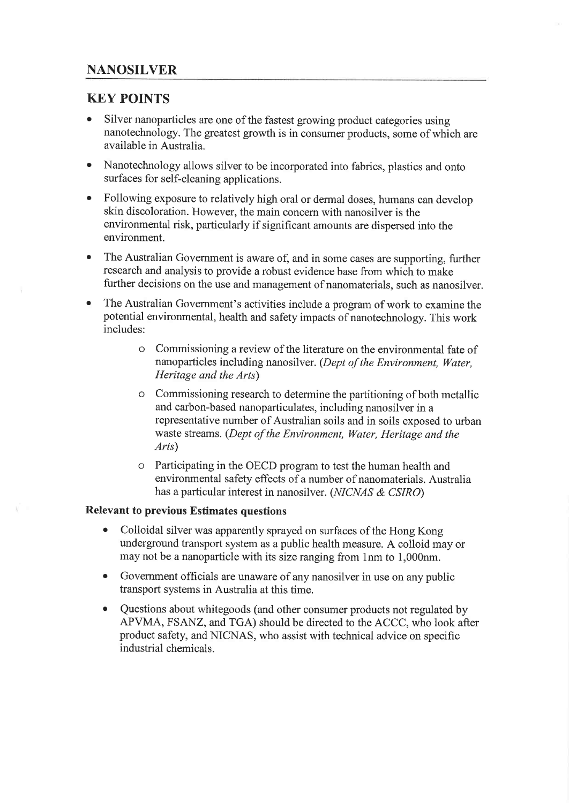## KEY POINTS

- Silver nanoparticles are one of the fastest growing product categories using nanotechnology. The greatest growth is in consumer products, some of which are available in Australia.
- Nanotechnology allows silver to be incorporated into fabrics, plastics and onto surfaces for self-cleaning applications.
- Following exposure to relatively high oral or dermal doses, humans can develop skin discoloration. However, the main concern with nanosilver is the environmental risk, particularly if significant amounts are dispersed into the environment.
- o The Australian Government is aware of, and in some cases are supporting, further research and analysis to provide a robust evidence base from which to make further decisions on the use and management of nanomaterials, such as nanosilver.
- The Australian Government's activities include a program of work to examine the potential environmental, health and safety impacts of nanotechnology. This work includes:
	- o Commissioning a review of the literature on the environmental fate of nanoparticles including nanosilver. (Dept of the Environment, Water, Heritage and the Arts)
	- o Commissioning research to determine the partitioning of both metallic and carbon-based nanoparticulates, including nanosilver in a representative number of Australian soils and in soils exposed to urban waste streams. (Dept of the Environment, Water, Heritage and the Arts)
	- o Participating in the OECD program to test the human health and environmental safety effects of a number of nanomaterials. Australia has a particular interest in nanosilver. (NICNAS & CSIRO)

#### Relevant to previous Estimates questions

- Colloidal silver was apparently sprayed on surfaces of the Hong Kong underground transport system as a public health measure. A colloid may or may not be a nanoparticle with its size ranging from lnm to 1,000nm.
- o Government officials are unaware of any nanosilver in use on any public transport systems in Australia at this time.
- Questions about whitegoods (and other consumer products not regulated by APVMA, FSANZ, and TGA) should be directed to the ACCC, who look after product safety, and NICNAS, who assist with technical advice on specific industrial chemicals.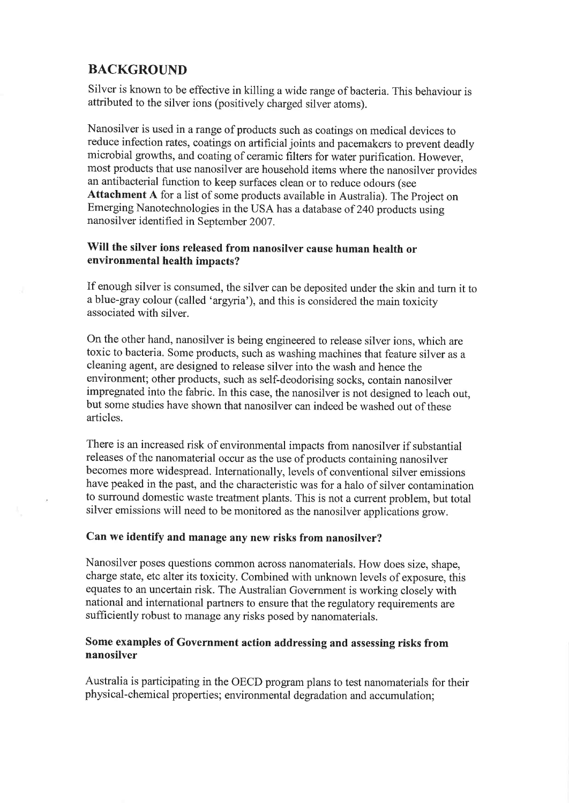## BACKGROUND

 $\bar{x}$ 

Silver is known to be effective in killing a wide range of bacteria. This behaviour is attributed to the silver ions (positively charged silver atoms).

Nanosilver is used in a range of products such as coatings on medical devices to reduce infection rates, coatings on artifìcial joints and pacemakers to prevent deadly microbial growths, and coating of ceramic filters for water purification. However, most products that use nanosilver are household items where the nanosilver provides an antibacterial function to keep surfaces clean or to reduce odours (see Attachment A for a list of some products available in Australia). The Project on Emerging Nanotechnologies in the USA has a database of 240 products using nanosilver identified in September 2007.

### will the silver ions released from nanosilver cause human health or environmental health impacts?

If enough silver is consumed, the silver can be deposited under the skin and turn it to a blue-gray colour (called 'argyria'), and this is considered the main toxicity associated with silver.

On the other hand, nanosilver is being engineered to release silver ions, which are toxic to bacteria. Some products, such as washing machines that feature silver as <sup>a</sup> cleaning agent, are designed to release silver into the wash and hence the environment; other products, such as self-deodorising socks, contain nanosilver impregnated into the fabric. In this case, the nanosilver is not designed to leach out, but some studies have shown that nanosilver can indeed be washed out of these articles.

There is an increased risk of environmental impacts from nanosilver if substantial releases of the nanomaterial occur as the use of products containing nanosilver becomes more widespread. Intemationally, levels of conventional silver emissions have peaked in the past, and the characteristic was for a halo of silver contamination to surround domestic waste treatment plants. This is not a current problem, but total silver emissions will need to be monitored as the nanosilver applications grow.

### Can we identify and manage any new risks from nanosilver?

Nanosilver poses questions common across nanomaterials. How does size, shape, charge state, etc alter its toxicity. Combined with unknown levels of exposure, this equates to an uncertain risk. The Australian Government is working closely with national and international partners to ensure that the regulatory requirements are sufficiently robust to manage any risks posed by nanomaterials.

#### Some examples of Government action addressing and assessing risks from nanosilver

Australia is participating in the OECD program plans to test nanomaterials for their physical-chemical properties; environmental degradation and accumulation;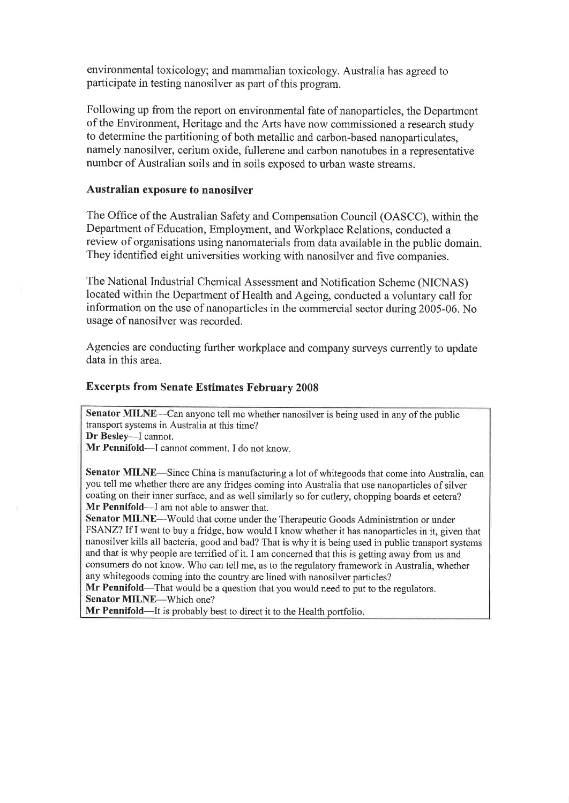environmental toxicology; and mammalian toxicology. Australia has agreed to participate in testing nanosilver as part of this program.

Following up from the report on environmental fate of nanoparticles, the Department of the Environment, Heritage and the Arts have now commissioned a research study to determine the partitioning of both metallic and carbon-based nanoparticulates, namely nanosilver, cerium oxide, fullerene and carbon nanotubes in a representative number of Australian soils and in soils exposed to urban waste streams.

#### Australian exposure to nanosilver

The Office of the Australian Safety and Compensation Council (OASCC), within the Department of Education, Employment, and Workplace Relations, conducted a review of organisations using nanomaterials from data available in the public domain, They identified eight universities working with nanosilver and five companies.

The National Industrial Chemical Assessment and Notification Scheme (NICNAS) located within the Department of Health and Ageing, conducted a voluntary call for information on the use of nanoparticles in the commercial sector during 2005-06. No usage of nanosilver was recorded.

Agencies are conducting further workplace and company surveys currently to update data in this area.

#### Excerpts from Senate Estimates February 2008

Senator MILNE-Can anyone tell me whether nanosilver is being used in any of the public transport systems in Australia at this time? Dr Besley---I cannot.

Mr Pennifold-I cannot comment. I do not know.

Senator MILNE-Since China is manufacturing a lot of whitegoods that come into Australia, can you tell me whether there are any fridges coming into Australia that use nanoparticles of silver coating on their inner surface, and as well similarly so for cutlery, chopping boards et cetera? Mr Pennifold-I am not able to answer that.

Senator MILNE--Would that come under the Therapeutic Goods Administration or under FSANZ? If I went to buy a fridge, how would I know whether it has nanoparticles in it, given that nanosilver kills all bacteria, good and bad? That is why it is being used in public transport systems and that is why people are terrified of it. I am concemed that this is getting away from us and consumers do not know. Who can tell me, as to the regulatory framework in Australia, whether any whitegoods coming into the country are lined with nanosilver particles?

Mr Pennifold—That would be a question that you would need to put to the regulators. Senator MILNE-Which one?

Mr Pennifold-It is probably best to direct it to the Health portfolio.